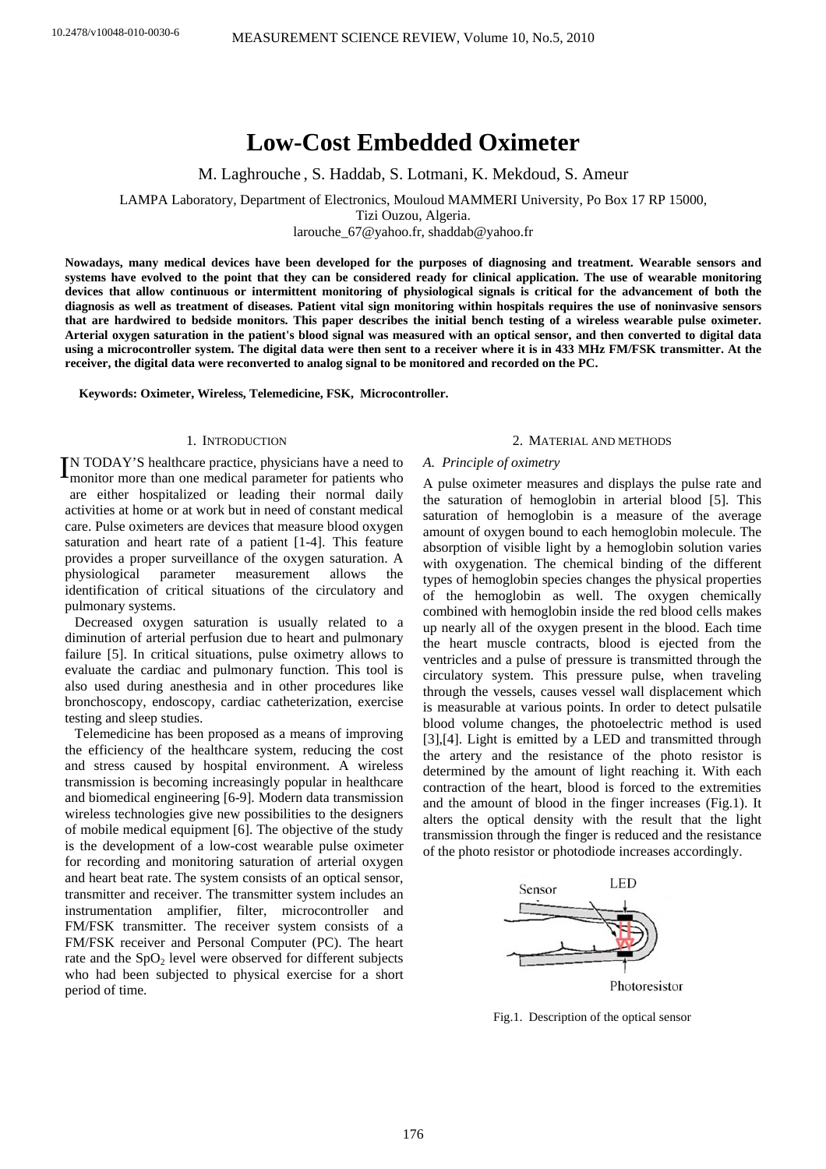# **Low-Cost Embedded Oximeter**

M. Laghrouche , S. Haddab, S. Lotmani, K. Mekdoud, S. Ameur

LAMPA Laboratory, Department of Electronics, Mouloud MAMMERI University, Po Box 17 RP 15000,

Tizi Ouzou, Algeria.

[larouche\\_67@yahoo.fr,](mailto:larouche_67@yahoo.fr) shaddab@yahoo.fr

**Nowadays, many medical devices have been developed for the purposes of diagnosing and treatment. Wearable sensors and systems have evolved to the point that they can be considered ready for clinical application. The use of wearable monitoring devices that allow continuous or intermittent monitoring of physiological signals is critical for the advancement of both the diagnosis as well as treatment of diseases. Patient vital sign monitoring within hospitals requires the use of noninvasive sensors that are hardwired to bedside monitors. This paper describes the initial bench testing of a wireless wearable pulse oximeter. Arterial oxygen saturation in the patient's blood signal was measured with an optical sensor, and then converted to digital data using a microcontroller system. The digital data were then sent to a receiver where it is in 433 MHz FM/FSK transmitter. At the receiver, the digital data were reconverted to analog signal to be monitored and recorded on the PC.** 

**Keywords: Oximeter, Wireless, Telemedicine, FSK, Microcontroller.** 

# 1. INTRODUCTION

IN TODAY'S healthcare practice, physicians have a need to monitor more than one medical parameter for patients who m onitor more than one medical parameter for patients who are either hospitalized or leading their normal daily activities at home or at work but in need of constant medical care. Pulse oximeters are devices that measure blood oxygen saturation and heart rate of a patient [1-4]. This feature provides a proper surveillance of the oxygen saturation. A physiological parameter measurement allows the identification of critical situations of the circulatory and pulmonary systems.

Decreased oxygen saturation is usually related to a diminution of arterial perfusion due to heart and pulmonary failure [5]. In critical situations, pulse oximetry allows to evaluate the cardiac and pulmonary function. This tool is also used during anesthesia and in other procedures like bronchoscopy, endoscopy, cardiac catheterization, exercise testing and sleep studies.

Telemedicine has been proposed as a means of improving the efficiency of the healthcare system, reducing the cost and stress caused by hospital environment. A wireless transmission is becoming increasingly popular in healthcare and biomedical engineering [6-9]. Modern data transmission wireless technologies give new possibilities to the designers of mobile medical equipment [6]. The objective of the study is the development of a low-cost wearable pulse oximeter for recording and monitoring saturation of arterial oxygen and heart beat rate. The system consists of an optical sensor, transmitter and receiver. The transmitter system includes an instrumentation amplifier, filter, microcontroller and FM/FSK transmitter. The receiver system consists of a FM/FSK receiver and Personal Computer (PC). The heart rate and the  $SpO<sub>2</sub>$  level were observed for different subjects who had been subjected to physical exercise for a short period of time.

## 2. MATERIAL AND METHODS

## *A. Principle of oximetry*

A pulse oximeter measures and displays the pulse rate and the saturation of hemoglobin in arterial blood [5]. This saturation of hemoglobin is a measure of the average amount of oxygen bound to each hemoglobin molecule. The absorption of visible light by a hemoglobin solution varies with oxygenation. The chemical binding of the different types of hemoglobin species changes the physical properties of the hemoglobin as well. The oxygen chemically combined with hemoglobin inside the red blood cells makes up nearly all of the oxygen present in the blood. Each time the heart muscle contracts, blood is ejected from the ventricles and a pulse of pressure is transmitted through the circulatory system. This pressure pulse, when traveling through the vessels, causes vessel wall displacement which is measurable at various points. In order to detect pulsatile blood volume changes, the photoelectric method is used [3],[4]. Light is emitted by a LED and transmitted through the artery and the resistance of the photo resistor is determined by the amount of light reaching it. With each contraction of the heart, blood is forced to the extremities and the amount of blood in the finger increases (Fig.1). It alters the optical density with the result that the light transmission through the finger is reduced and the resistance of the photo resistor or photodiode increases accordingly.



Fig.1. Description of the optical sensor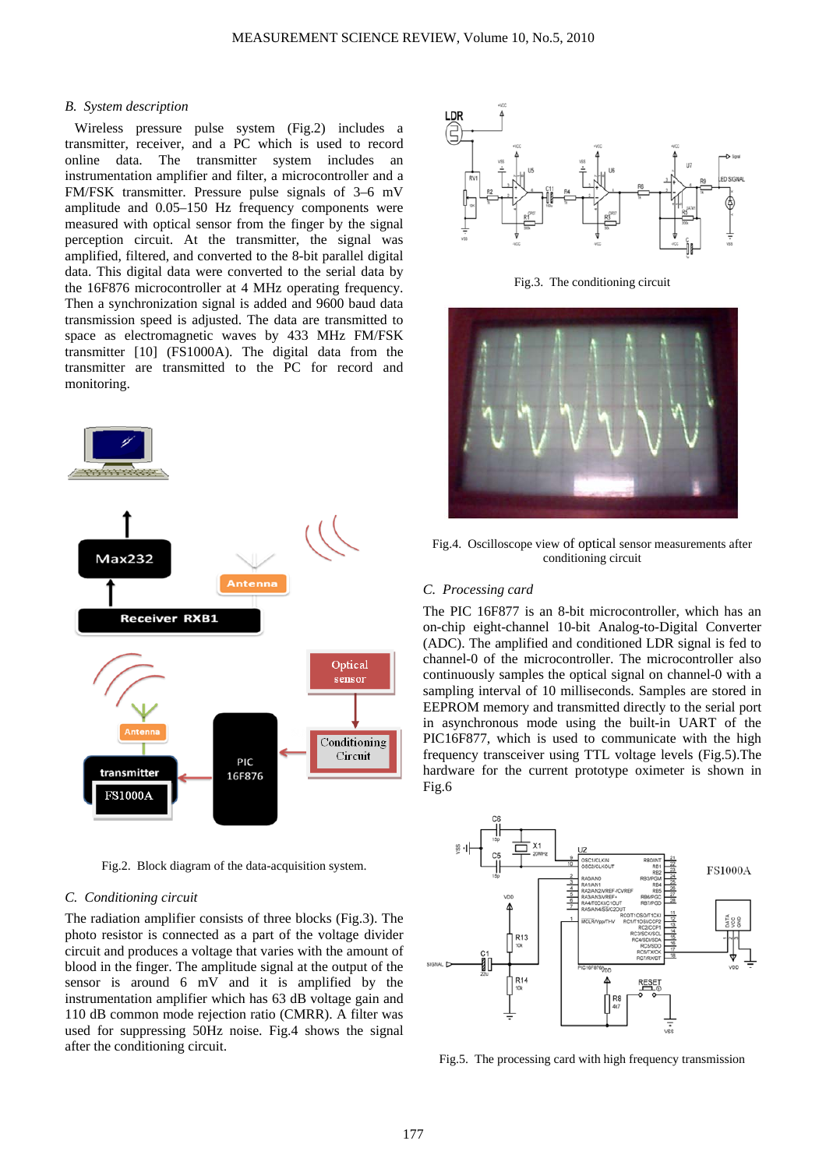#### *B. System description*

Wireless pressure pulse system (Fig.2) includes a transmitter, receiver, and a PC which is used to record online data. The transmitter system includes an instrumentation amplifier and filter, a microcontroller and a FM/FSK transmitter. Pressure pulse signals of 3–6 mV amplitude and 0.05–150 Hz frequency components were measured with optical sensor from the finger by the signal perception circuit. At the transmitter, the signal was amplified, filtered, and converted to the 8-bit parallel digital data. This digital data were converted to the serial data by the 16F876 microcontroller at 4 MHz operating frequency. Then a synchronization signal is added and 9600 baud data transmission speed is adjusted. The data are transmitted to space as electromagnetic waves by 433 MHz FM/FSK transmitter [10] (FS1000A). The digital data from the transmitter are transmitted to the PC for record and monitoring.



Fig.2. Block diagram of the data-acquisition system.

#### *C. Conditioning circuit*

The radiation amplifier consists of three blocks (Fig.3). The photo resistor is connected as a part of the voltage divider circuit and produces a voltage that varies with the amount of blood in the finger. The amplitude signal at the output of the sensor is around 6 mV and it is amplified by the instrumentation amplifier which has 63 dB voltage gain and 110 dB common mode rejection ratio (CMRR). A filter was used for suppressing 50Hz noise. Fig.4 shows the signal after the conditioning circuit.



Fig.3. The conditioning circuit



Fig.4. Oscilloscope view of optical sensor measurements after conditioning circuit

## *C. Processing card*

The PIC 16F877 is an 8-bit microcontroller, which has an on-chip eight-channel 10-bit Analog-to-Digital Converter (ADC). The amplified and conditioned LDR signal is fed to channel-0 of the microcontroller. The microcontroller also continuously samples the optical signal on channel-0 with a sampling interval of 10 milliseconds. Samples are stored in EEPROM memory and transmitted directly to the serial port in asynchronous mode using the built-in UART of the PIC16F877, which is used to communicate with the high frequency transceiver using TTL voltage levels (Fig.5).The hardware for the current prototype oximeter is shown in Fig.6



Fig.5. The processing card with high frequency transmission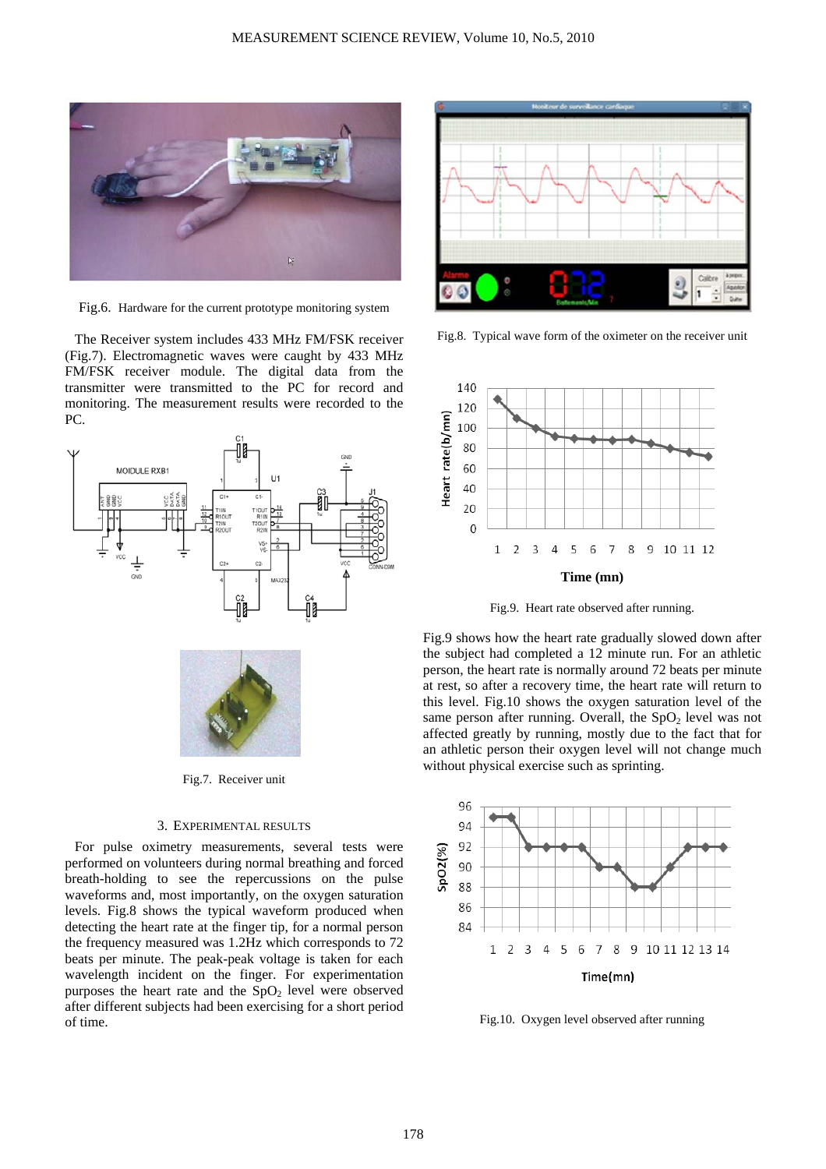

Fig.6. Hardware for the current prototype monitoring system

The Receiver system includes 433 MHz FM/FSK receiver (Fig.7). Electromagnetic waves were caught by 433 MHz FM/FSK receiver module. The digital data from the transmitter were transmitted to the PC for record and monitoring. The measurement results were recorded to the PC.



Fig.7. Receiver unit

## 3. EXPERIMENTAL RESULTS

For pulse oximetry measurements, several tests were performed on volunteers during normal breathing and forced breath-holding to see the repercussions on the pulse waveforms and, most importantly, on the oxygen saturation levels. Fig.8 shows the typical waveform produced when detecting the heart rate at the finger tip, for a normal person the frequency measured was 1.2Hz which corresponds to 72 beats per minute. The peak-peak voltage is taken for each wavelength incident on the finger. For experimentation purposes the heart rate and the  $SpO<sub>2</sub>$  level were observed after different subjects had been exercising for a short period of time.



Fig.8. Typical wave form of the oximeter on the receiver unit



Fig.9. Heart rate observed after running.

Fig.9 shows how the heart rate gradually slowed down after the subject had completed a 12 minute run. For an athletic person, the heart rate is normally around 72 beats per minute at rest, so after a recovery time, the heart rate will return to this level. Fig.10 shows the oxygen saturation level of the same person after running. Overall, the  $SpO<sub>2</sub>$  level was not affected greatly by running, mostly due to the fact that for an athletic person their oxygen level will not change much without physical exercise such as sprinting.



Fig.10. Oxygen level observed after running